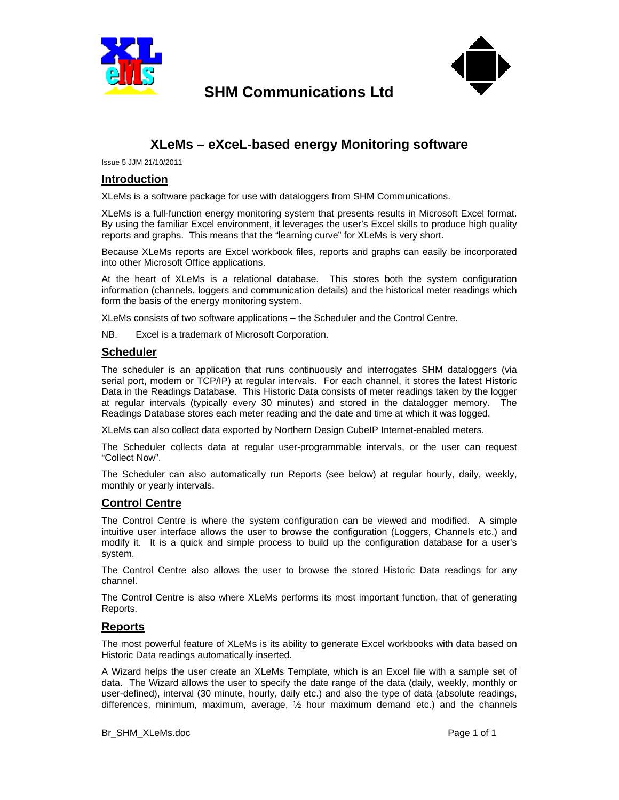

**SHM Communications Ltd**



# **XLeMs – eXceL-based energy Monitoring software**

Issue 5 JJM 21/10/2011

#### **Introduction**

XLeMs is a software package for use with dataloggers from SHM Communications.

XLeMs is a full-function energy monitoring system that presents results in Microsoft Excel format. By using the familiar Excel environment, it leverages the user's Excel skills to produce high quality reports and graphs. This means that the "learning curve" for XLeMs is very short.

Because XLeMs reports are Excel workbook files, reports and graphs can easily be incorporated into other Microsoft Office applications.

At the heart of XLeMs is a relational database. This stores both the system configuration information (channels, loggers and communication details) and the historical meter readings which form the basis of the energy monitoring system.

XLeMs consists of two software applications – the Scheduler and the Control Centre.

NB. Excel is a trademark of Microsoft Corporation.

### **Scheduler**

The scheduler is an application that runs continuously and interrogates SHM dataloggers (via serial port, modem or TCP/IP) at regular intervals. For each channel, it stores the latest Historic Data in the Readings Database. This Historic Data consists of meter readings taken by the logger at regular intervals (typically every 30 minutes) and stored in the datalogger memory. The Readings Database stores each meter reading and the date and time at which it was logged.

XLeMs can also collect data exported by Northern Design CubeIP Internet-enabled meters.

The Scheduler collects data at regular user-programmable intervals, or the user can request "Collect Now".

The Scheduler can also automatically run Reports (see below) at regular hourly, daily, weekly, monthly or yearly intervals.

## **Control Centre**

The Control Centre is where the system configuration can be viewed and modified. A simple intuitive user interface allows the user to browse the configuration (Loggers, Channels etc.) and modify it. It is a quick and simple process to build up the configuration database for a user's system.

The Control Centre also allows the user to browse the stored Historic Data readings for any channel.

The Control Centre is also where XLeMs performs its most important function, that of generating Reports.

#### **Reports**

The most powerful feature of XLeMs is its ability to generate Excel workbooks with data based on Historic Data readings automatically inserted.

A Wizard helps the user create an XLeMs Template, which is an Excel file with a sample set of data. The Wizard allows the user to specify the date range of the data (daily, weekly, monthly or user-defined), interval (30 minute, hourly, daily etc.) and also the type of data (absolute readings, differences, minimum, maximum, average, ½ hour maximum demand etc.) and the channels